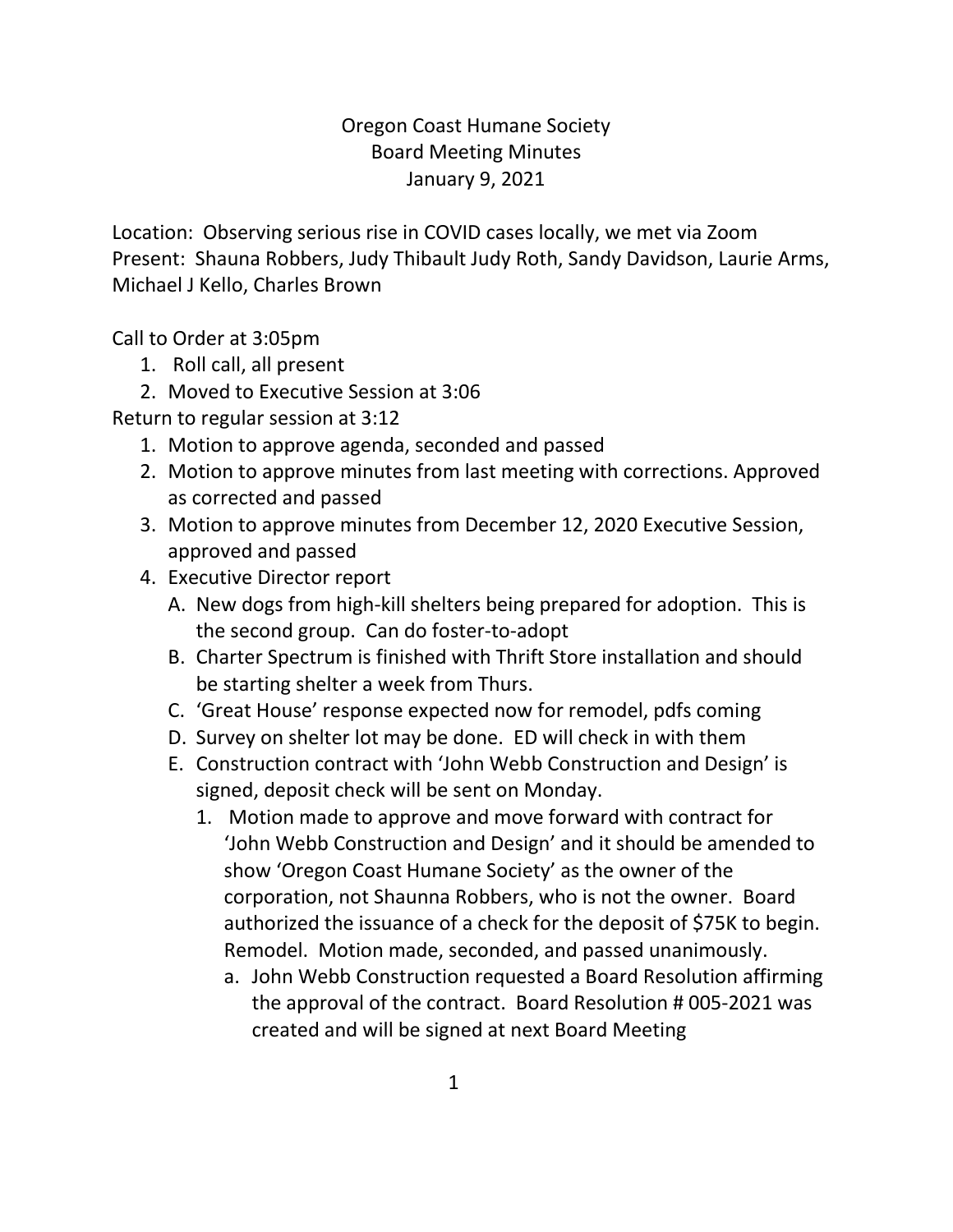## Oregon Coast Humane Society Board Meeting Minutes January 9, 2021

Location: Observing serious rise in COVID cases locally, we met via Zoom Present: Shauna Robbers, Judy Thibault Judy Roth, Sandy Davidson, Laurie Arms, Michael J Kello, Charles Brown

Call to Order at 3:05pm

- 1. Roll call, all present
- 2. Moved to Executive Session at 3:06

Return to regular session at 3:12

- 1. Motion to approve agenda, seconded and passed
- 2. Motion to approve minutes from last meeting with corrections. Approved as corrected and passed
- 3. Motion to approve minutes from December 12, 2020 Executive Session, approved and passed
- 4. Executive Director report
	- A. New dogs from high-kill shelters being prepared for adoption. This is the second group. Can do foster-to-adopt
	- B. Charter Spectrum is finished with Thrift Store installation and should be starting shelter a week from Thurs.
	- C. 'Great House' response expected now for remodel, pdfs coming
	- D. Survey on shelter lot may be done. ED will check in with them
	- E. Construction contract with 'John Webb Construction and Design' is signed, deposit check will be sent on Monday.
		- 1. Motion made to approve and move forward with contract for 'John Webb Construction and Design' and it should be amended to show 'Oregon Coast Humane Society' as the owner of the corporation, not Shaunna Robbers, who is not the owner. Board authorized the issuance of a check for the deposit of \$75K to begin. Remodel. Motion made, seconded, and passed unanimously.
			- a. John Webb Construction requested a Board Resolution affirming the approval of the contract. Board Resolution # 005-2021 was created and will be signed at next Board Meeting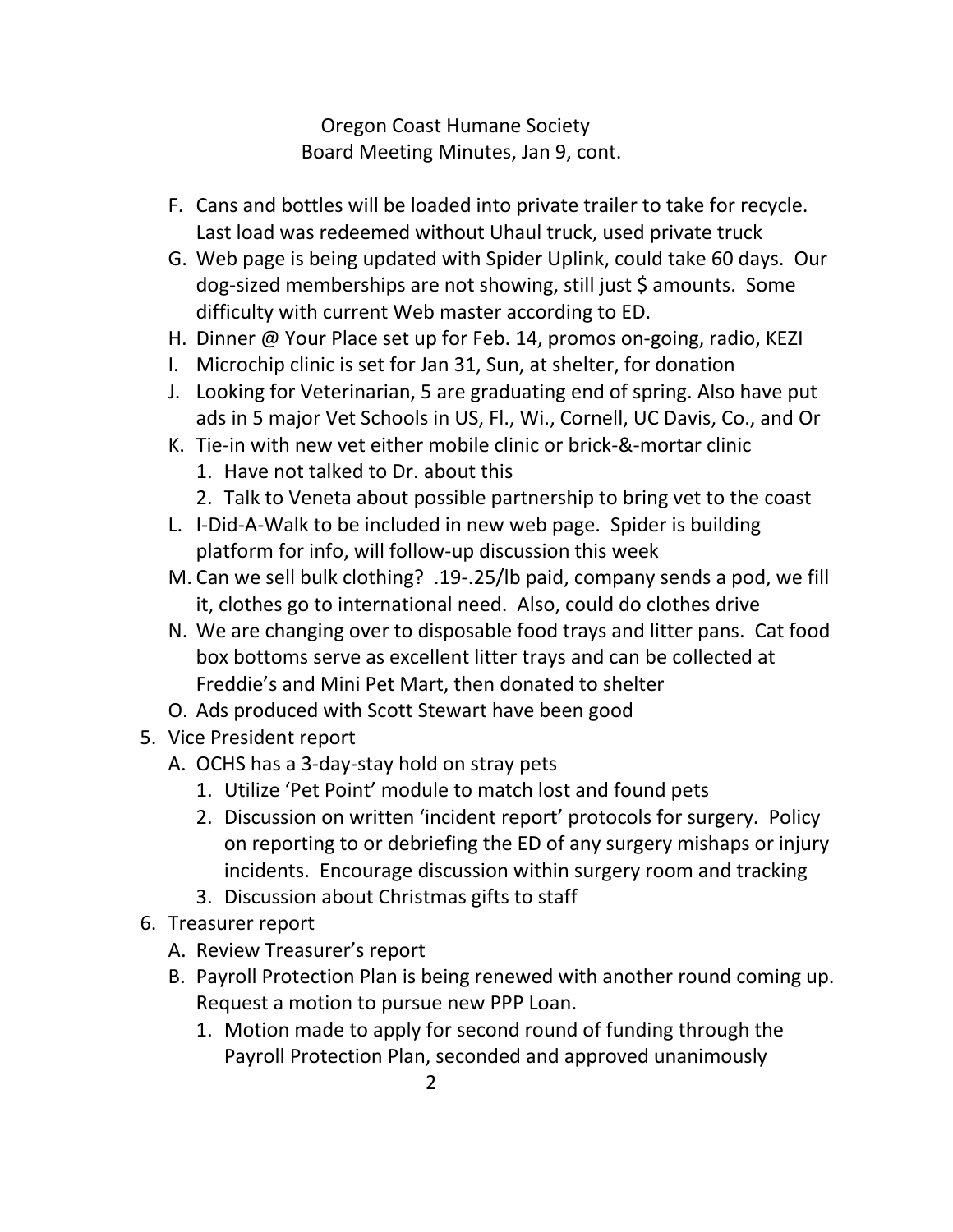Oregon Coast Humane Society Board Meeting Minutes, Jan 9, cont.

- F. Cans and bottles will be loaded into private trailer to take for recycle. Last load was redeemed without Uhaul truck, used private truck
- G. Web page is being updated with Spider Uplink, could take 60 days. Our dog-sized memberships are not showing, still just \$ amounts. Some difficulty with current Web master according to ED.
- H. Dinner @ Your Place set up for Feb. 14, promos on-going, radio, KEZI
- I. Microchip clinic is set for Jan 31, Sun, at shelter, for donation
- J. Looking for Veterinarian, 5 are graduating end of spring. Also have put ads in 5 major Vet Schools in US, Fl., Wi., Cornell, UC Davis, Co., and Or
- K. Tie-in with new vet either mobile clinic or brick-&-mortar clinic
	- 1. Have not talked to Dr. about this
	- 2. Talk to Veneta about possible partnership to bring vet to the coast
- L. I-Did-A-Walk to be included in new web page. Spider is building platform for info, will follow-up discussion this week
- M. Can we sell bulk clothing? .19-.25/lb paid, company sends a pod, we fill it, clothes go to international need. Also, could do clothes drive
- N. We are changing over to disposable food trays and litter pans. Cat food box bottoms serve as excellent litter trays and can be collected at Freddie's and Mini Pet Mart, then donated to shelter
- O. Ads produced with Scott Stewart have been good
- 5. Vice President report
	- A. OCHS has a 3-day-stay hold on stray pets
		- 1. Utilize 'Pet Point' module to match lost and found pets
		- 2. Discussion on written 'incident report' protocols for surgery. Policy on reporting to or debriefing the ED of any surgery mishaps or injury incidents. Encourage discussion within surgery room and tracking
		- 3. Discussion about Christmas gifts to staff
- 6. Treasurer report
	- A. Review Treasurer's report
	- B. Payroll Protection Plan is being renewed with another round coming up. Request a motion to pursue new PPP Loan.
		- 1. Motion made to apply for second round of funding through the Payroll Protection Plan, seconded and approved unanimously